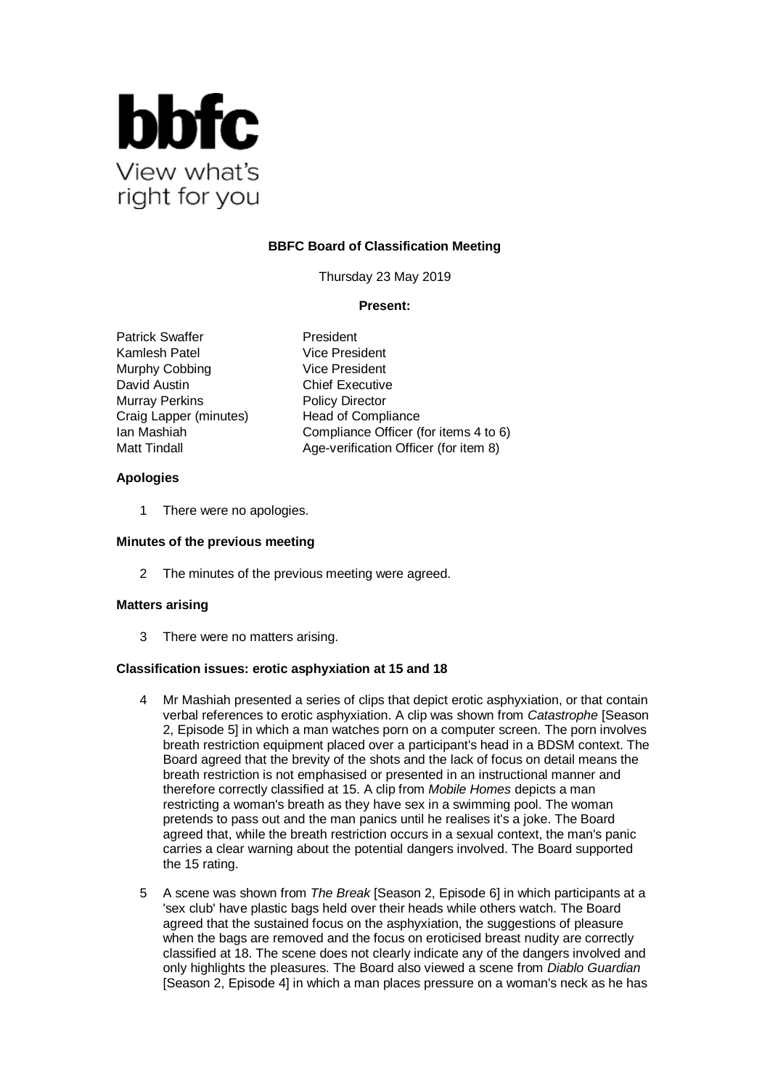

# **BBFC Board of Classification Meeting**

Thursday 23 May 2019

### **Present:**

Patrick Swaffer President Kamlesh Patel Vice President Murphy Cobbing Vice President David Austin **Chief Executive** Murray Perkins Policy Director Craig Lapper (minutes) Head of Compliance

Ian Mashiah Compliance Officer (for items 4 to 6) Matt Tindall Matt Tindall Age-verification Officer (for item 8)

### **Apologies**

1 There were no apologies.

#### **Minutes of the previous meeting**

2 The minutes of the previous meeting were agreed.

#### **Matters arising**

3 There were no matters arising.

#### **Classification issues: erotic asphyxiation at 15 and 18**

- 4 Mr Mashiah presented a series of clips that depict erotic asphyxiation, or that contain verbal references to erotic asphyxiation. A clip was shown from *Catastrophe* [Season 2, Episode 5] in which a man watches porn on a computer screen. The porn involves breath restriction equipment placed over a participant's head in a BDSM context. The Board agreed that the brevity of the shots and the lack of focus on detail means the breath restriction is not emphasised or presented in an instructional manner and therefore correctly classified at 15. A clip from *Mobile Homes* depicts a man restricting a woman's breath as they have sex in a swimming pool. The woman pretends to pass out and the man panics until he realises it's a joke. The Board agreed that, while the breath restriction occurs in a sexual context, the man's panic carries a clear warning about the potential dangers involved. The Board supported the 15 rating.
- 5 A scene was shown from *The Break* [Season 2, Episode 6] in which participants at a 'sex club' have plastic bags held over their heads while others watch. The Board agreed that the sustained focus on the asphyxiation, the suggestions of pleasure when the bags are removed and the focus on eroticised breast nudity are correctly classified at 18. The scene does not clearly indicate any of the dangers involved and only highlights the pleasures. The Board also viewed a scene from *Diablo Guardian* [Season 2, Episode 4] in which a man places pressure on a woman's neck as he has